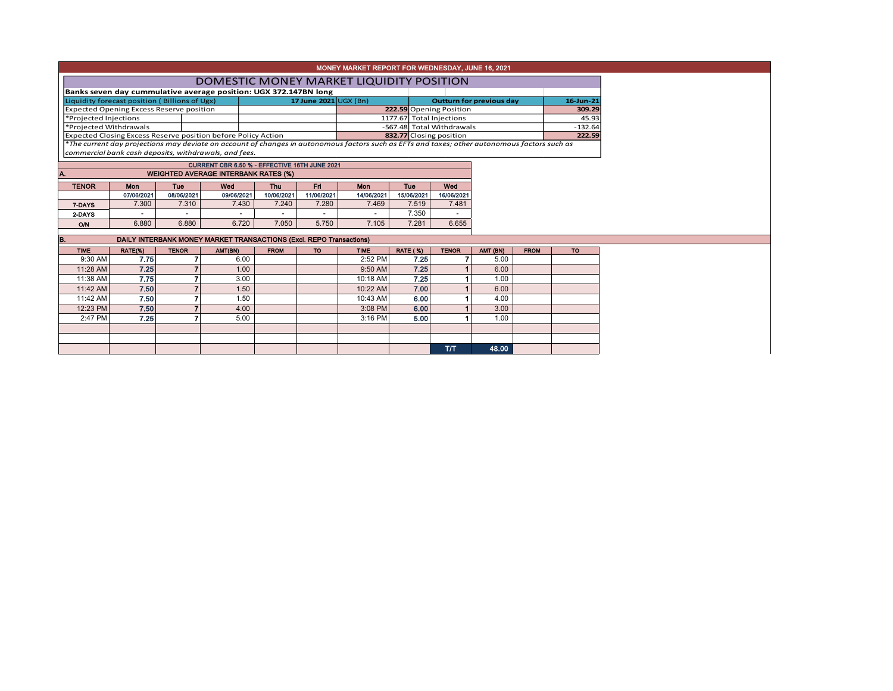|                                                 |                                                                  |                                               |              |                                                                                                                                               |             |                           | MONEY MARKET REPORT FOR WEDNESDAY, JUNE 16, 2021 |                 |                         |                                 |             |           |  |  |  |
|-------------------------------------------------|------------------------------------------------------------------|-----------------------------------------------|--------------|-----------------------------------------------------------------------------------------------------------------------------------------------|-------------|---------------------------|--------------------------------------------------|-----------------|-------------------------|---------------------------------|-------------|-----------|--|--|--|
|                                                 |                                                                  |                                               |              | DOMESTIC MONEY MARKET LIQUIDITY POSITION                                                                                                      |             |                           |                                                  |                 |                         |                                 |             |           |  |  |  |
|                                                 | Banks seven day cummulative average position: UGX 372.147BN long |                                               |              |                                                                                                                                               |             |                           |                                                  |                 |                         |                                 |             |           |  |  |  |
|                                                 |                                                                  | Liquidity forecast position (Billions of Ugx) |              |                                                                                                                                               |             | 17 June $2021$ UGX (Bn)   |                                                  |                 |                         | <b>Outturn for previous day</b> | 16-Jun-21   |           |  |  |  |
| <b>Expected Opening Excess Reserve position</b> |                                                                  |                                               |              |                                                                                                                                               |             |                           |                                                  |                 | 222.59 Opening Position |                                 |             | 309.29    |  |  |  |
| *Projected Injections                           |                                                                  |                                               |              |                                                                                                                                               |             | 1177.67 Total Injections  |                                                  |                 |                         | 45.93                           |             |           |  |  |  |
| *Projected Withdrawals                          |                                                                  |                                               |              |                                                                                                                                               |             | -567.48 Total Withdrawals |                                                  |                 |                         | $-132.64$                       |             |           |  |  |  |
|                                                 |                                                                  |                                               |              | Expected Closing Excess Reserve position before Policy Action                                                                                 |             |                           |                                                  |                 | 832.77 Closing position |                                 |             | 222.59    |  |  |  |
|                                                 |                                                                  |                                               |              | *The current day projections may deviate on account of changes in autonomous factors such as EFTs and taxes; other autonomous factors such as |             |                           |                                                  |                 |                         |                                 |             |           |  |  |  |
|                                                 |                                                                  |                                               |              | commercial bank cash deposits, withdrawals, and fees.                                                                                         |             |                           |                                                  |                 |                         |                                 |             |           |  |  |  |
|                                                 |                                                                  |                                               |              | CURRENT CBR 6.50 % - EFFECTIVE 16TH JUNE 2021                                                                                                 |             |                           |                                                  |                 |                         |                                 |             |           |  |  |  |
|                                                 |                                                                  |                                               |              | <b>WEIGHTED AVERAGE INTERBANK RATES (%)</b>                                                                                                   |             |                           |                                                  |                 |                         |                                 |             |           |  |  |  |
|                                                 | <b>TENOR</b>                                                     | Mon                                           | <b>Tue</b>   | Wed                                                                                                                                           | Thu         | Fri                       | <b>Mon</b>                                       | Tue             | Wed                     |                                 |             |           |  |  |  |
|                                                 |                                                                  | 07/06/2021                                    | 08/06/2021   | 09/06/2021                                                                                                                                    | 10/06/2021  | 11/06/2021                | 14/06/2021                                       | 15/06/2021      | 16/06/2021              |                                 |             |           |  |  |  |
|                                                 | 7 DAYS                                                           | 7.300                                         | 7.310        | 7.430                                                                                                                                         | 7.240       | 7.280                     | 7.469                                            | 7.519           | 7.481                   |                                 |             |           |  |  |  |
|                                                 | 2-DAYS                                                           |                                               |              |                                                                                                                                               |             |                           |                                                  | 7.350           |                         |                                 |             |           |  |  |  |
|                                                 | <b>O/N</b>                                                       | 6.880                                         | 6.880        | 6.720                                                                                                                                         | 7.050       | 5.750                     | 7.105                                            | 7.281           | 6.655                   |                                 |             |           |  |  |  |
|                                                 |                                                                  |                                               |              |                                                                                                                                               |             |                           |                                                  |                 |                         |                                 |             |           |  |  |  |
|                                                 |                                                                  |                                               |              | DAILY INTERBANK MONEY MARKET TRANSACTIONS (Excl. REPO Transactions)                                                                           |             |                           |                                                  |                 |                         |                                 |             |           |  |  |  |
|                                                 | <b>TIME</b>                                                      | RATE(%)                                       | <b>TENOR</b> | AMT(BN)                                                                                                                                       | <b>FROM</b> | <b>TO</b>                 | <b>TIME</b>                                      | <b>RATE (%)</b> | <b>TENOR</b>            | AMT (BN)                        | <b>FROM</b> | <b>TO</b> |  |  |  |
|                                                 | 9:30 AM                                                          | 7.75                                          | 7            | 6.00                                                                                                                                          |             |                           | 2:52 PM                                          | 7.25            |                         | 5.00                            |             |           |  |  |  |
|                                                 | 11:28 AM                                                         | 7.25                                          |              | 1.00                                                                                                                                          |             |                           | 9:50 AM                                          | 7.25            |                         | 6.00                            |             |           |  |  |  |
|                                                 | 11:38 AM                                                         | 7.75                                          |              | 3.00                                                                                                                                          |             |                           | 10:18 AM                                         | 7.25            |                         | 1.00                            |             |           |  |  |  |
|                                                 | 11:42 AM                                                         | 7.50                                          |              | 1.50                                                                                                                                          |             |                           | 10:22 AM                                         | 7.00            |                         | 6.00                            |             |           |  |  |  |
|                                                 | 11:42 AM                                                         | 7.50                                          |              | 1.50                                                                                                                                          |             |                           | 10:43 AM                                         | 6.00            |                         | 4.00                            |             |           |  |  |  |
|                                                 | 12:23 PM                                                         | 7.50                                          |              | 4.00                                                                                                                                          |             |                           | 3:08 PM                                          | 6.00            |                         | 3.00                            |             |           |  |  |  |
|                                                 | 2:47 PM                                                          | 7.25                                          | 7            | 5.00                                                                                                                                          |             |                           | 3:16 PM                                          | 5.00            |                         | 1.00                            |             |           |  |  |  |
|                                                 |                                                                  |                                               |              |                                                                                                                                               |             |                           |                                                  |                 |                         |                                 |             |           |  |  |  |
|                                                 |                                                                  |                                               |              |                                                                                                                                               |             |                           |                                                  |                 |                         |                                 |             |           |  |  |  |
|                                                 |                                                                  |                                               |              |                                                                                                                                               |             |                           |                                                  |                 |                         |                                 |             |           |  |  |  |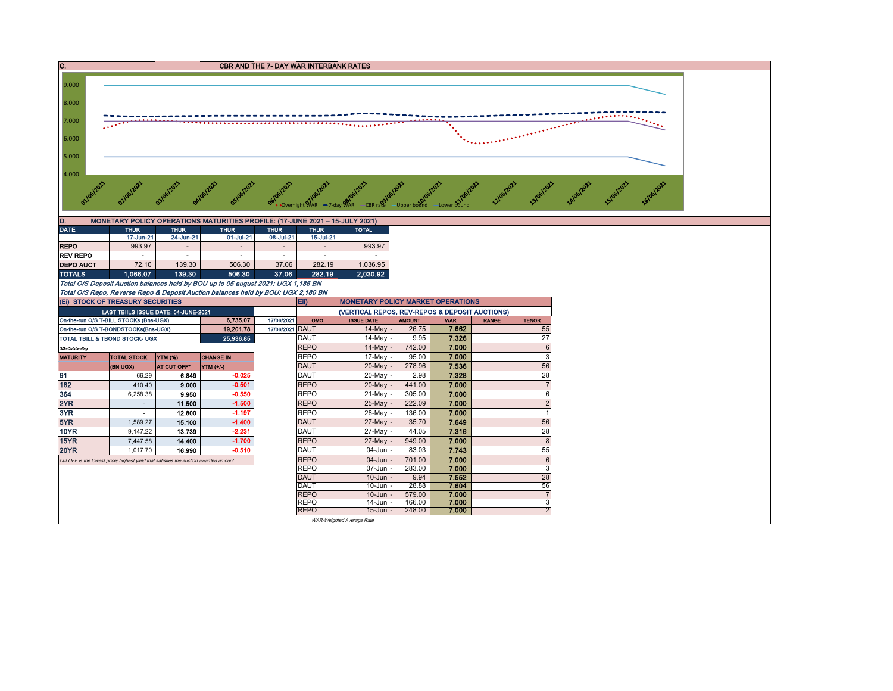

| D.               |             |             | MONETARY POLICY OPERATIONS MATURITIES PROFILE: (17-JUNE 2021 - 15-JULY 2021)      |             |             |              |
|------------------|-------------|-------------|-----------------------------------------------------------------------------------|-------------|-------------|--------------|
| <b>DATE</b>      | <b>THUR</b> | <b>THUR</b> | <b>THUR</b>                                                                       | <b>THUR</b> | <b>THUR</b> | <b>TOTAL</b> |
|                  | 17-Jun-21   | 24-Jun-21   | 01-Jul-21                                                                         | 08-Jul-21   | 15-Jul-21   |              |
| <b>REPO</b>      | 993.97      |             |                                                                                   |             |             | 993.97       |
| <b>REV REPO</b>  |             |             | ۰                                                                                 |             |             |              |
| <b>DEPO AUCT</b> | 72.10       | 139.30      | 506.30                                                                            | 37.06       | 282.19      | 1.036.95     |
| <b>TOTALS</b>    | 1.066.07    | 139.30      | 506.30                                                                            | 37.06       | 282.19      | 2.030.92     |
|                  |             |             | Total O/S Deposit Auction balances held by BOU up to 05 august 2021: UGX 1,186 BN |             |             |              |

Total O/S Repo, Reverse Repo & Deposit Auction balances held by BOU: UGX 2,180 BN

On-the-run O/S T-BILL STOCKs (Bns-UGX) 6,735.07 17/06/2021 OMO ISSUE DATE AMOUNT WAR RANGE TENOR On-the-run O/S T-BONDSTOCKs(Bns-UGX) 19,201.78 17/06/2021 DAUT 14-May - 26.75 7.662 55 TOTAL TBILL & TBOND STOCK- UGX 25,936.85 DAUT 25,936.85 DAUT 14-May - 9.95 7.326 7.326 O/S=Outstanding REPO 14-May - 742.00 7.000 6 MATURITY TOTAL STOCK YTM (%) CHANGE IN REPO 17-May - 95.00 7.000 3 (BN UGX) AT CUT OFF\* YTM (+/-) DAUT 20-May - 278.96 7.536 56 91 66.29 6.849 -0.025 DAUT 20-May - 2.98 7.328 28 182 410.40 9.000 -0.501 REPO 20-May - 441.00 7.000 7 364 | 6,258.38 | **9.9<del>5</del>0 | -0.550 | |**REPO | 21-May |- 305.00 | **7.000 |** 6 2YR 11.500 | -1.500 | |REPO 25-May|- 222.09 | **7.000 |** 2 3YR | - 12.800 | -1.197 | |REPO | 26-May |- 136.00 | **7.000 |** 1 5YR 1,589.27 15.100 -1.400 DAUT 27-May - 35.70 7.649 56 10YR 9,147.22 13.739 -2.231 DAUT 27-May - 44.05 7.316 28 15YR 7,447.58 14.400 -1.700 REPO 27-May - 949.00 7.000 8 20YR 1,017.70 16.990 -0.510 DAUT 04-Jun - 83.03 7.743 55 Cut OFF is the lowest price/ highest yield that satisfies the auction awarded amount. REPO 04-Jun - 701.00 7.000 6 REPO 07-Jun - 283.00 7.000 3<br>DAUT 10-Jun - 9.94 7.552 28 DAUT 10-Jun - 9.94 7.552 28 DAUT | 10-Jun |- 28.88 | **7.604** | 56 REPO | 10-Jun | 579.00 | **7.000** | 7 REPO | 14-Jun | 166.00 | 7.000 | 3 REPO 15-Jun - 248.00 7.000 Eii) MONETARY POLICY MARKET OPERATIONS LAST TBIILS ISSUE DATE: 04-JUNE-2021 (VERTICAL REPOS, REV-REPOS & DEPOSIT AUCTIONS) (Ei) STOCK OF TREASURY SECURITIES

 $W$ AR-W